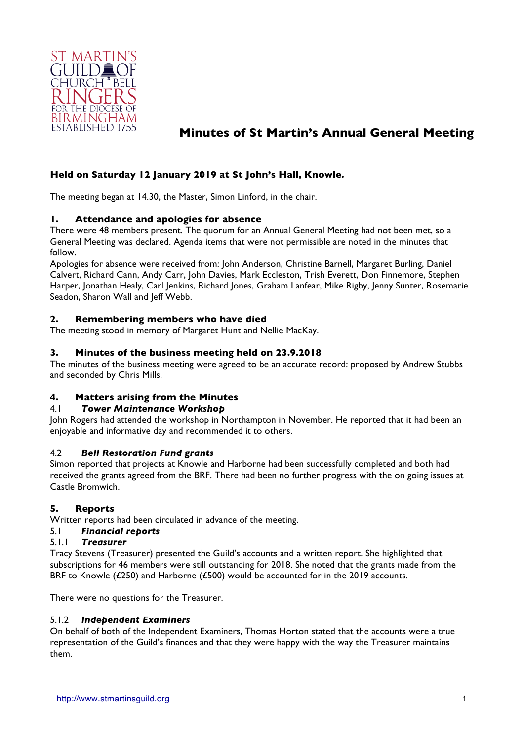

# **Minutes of St Martin's Annual General Meeting**

# **Held on Saturday 12 January 2019 at St John's Hall, Knowle.**

The meeting began at 14.30, the Master, Simon Linford, in the chair.

# **1. Attendance and apologies for absence**

There were 48 members present. The quorum for an Annual General Meeting had not been met, so a General Meeting was declared. Agenda items that were not permissible are noted in the minutes that follow.

Apologies for absence were received from: John Anderson, Christine Barnell, Margaret Burling, Daniel Calvert, Richard Cann, Andy Carr, John Davies, Mark Eccleston, Trish Everett, Don Finnemore, Stephen Harper, Jonathan Healy, Carl Jenkins, Richard Jones, Graham Lanfear, Mike Rigby, Jenny Sunter, Rosemarie Seadon, Sharon Wall and Jeff Webb.

### **2. Remembering members who have died**

The meeting stood in memory of Margaret Hunt and Nellie MacKay.

### **3. Minutes of the business meeting held on 23.9.2018**

The minutes of the business meeting were agreed to be an accurate record: proposed by Andrew Stubbs and seconded by Chris Mills.

#### **4. Matters arising from the Minutes**

#### 4.1 *Tower Maintenance Workshop*

John Rogers had attended the workshop in Northampton in November. He reported that it had been an enjoyable and informative day and recommended it to others.

#### 4.2 *Bell Restoration Fund grants*

Simon reported that projects at Knowle and Harborne had been successfully completed and both had received the grants agreed from the BRF. There had been no further progress with the on going issues at Castle Bromwich.

#### **5. Reports**

Written reports had been circulated in advance of the meeting.

#### 5.1 *Financial reports*

### 5.1.1 *Treasurer*

Tracy Stevens (Treasurer) presented the Guild's accounts and a written report. She highlighted that subscriptions for 46 members were still outstanding for 2018. She noted that the grants made from the BRF to Knowle (£250) and Harborne (£500) would be accounted for in the 2019 accounts.

There were no questions for the Treasurer.

#### 5.1.2 *Independent Examiners*

On behalf of both of the Independent Examiners, Thomas Horton stated that the accounts were a true representation of the Guild's finances and that they were happy with the way the Treasurer maintains them.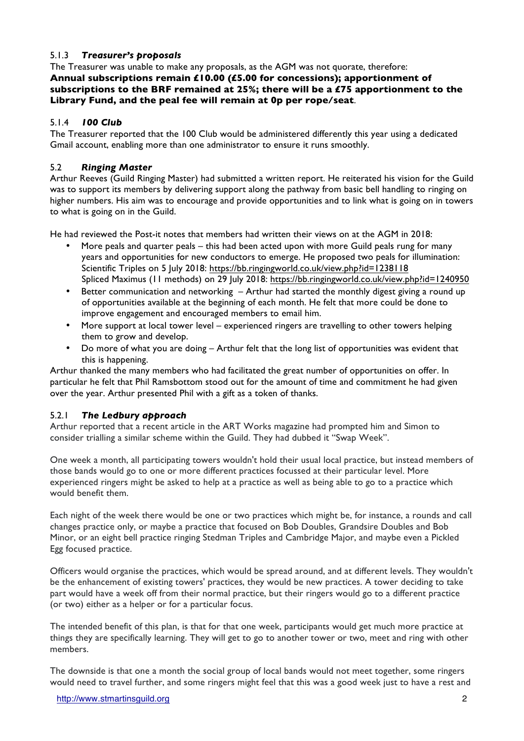# 5.1.3 *Treasurer's proposals*

The Treasurer was unable to make any proposals, as the AGM was not quorate, therefore: **Annual subscriptions remain £10.00 (£5.00 for concessions); apportionment of subscriptions to the BRF remained at 25%; there will be a £75 apportionment to the Library Fund, and the peal fee will remain at 0p per rope/seat**.

# 5.1.4 *100 Club*

The Treasurer reported that the 100 Club would be administered differently this year using a dedicated Gmail account, enabling more than one administrator to ensure it runs smoothly.

# 5.2 *Ringing Master*

Arthur Reeves (Guild Ringing Master) had submitted a written report. He reiterated his vision for the Guild was to support its members by delivering support along the pathway from basic bell handling to ringing on higher numbers. His aim was to encourage and provide opportunities and to link what is going on in towers to what is going on in the Guild.

He had reviewed the Post-it notes that members had written their views on at the AGM in 2018:

- More peals and quarter peals this had been acted upon with more Guild peals rung for many years and opportunities for new conductors to emerge. He proposed two peals for illumination: Scientific Triples on 5 July 2018: https://bb.ringingworld.co.uk/view.php?id=1238118 Spliced Maximus (11 methods) on 29 July 2018: https://bb.ringingworld.co.uk/view.php?id=1240950
- Better communication and networking Arthur had started the monthly digest giving a round up of opportunities available at the beginning of each month. He felt that more could be done to improve engagement and encouraged members to email him.
- More support at local tower level experienced ringers are travelling to other towers helping them to grow and develop.
- Do more of what you are doing Arthur felt that the long list of opportunities was evident that this is happening.

Arthur thanked the many members who had facilitated the great number of opportunities on offer. In particular he felt that Phil Ramsbottom stood out for the amount of time and commitment he had given over the year. Arthur presented Phil with a gift as a token of thanks.

# 5.2.1 *The Ledbury approach*

Arthur reported that a recent article in the ART Works magazine had prompted him and Simon to consider trialling a similar scheme within the Guild. They had dubbed it "Swap Week".

One week a month, all participating towers wouldn't hold their usual local practice, but instead members of those bands would go to one or more different practices focussed at their particular level. More experienced ringers might be asked to help at a practice as well as being able to go to a practice which would benefit them.

Each night of the week there would be one or two practices which might be, for instance, a rounds and call changes practice only, or maybe a practice that focused on Bob Doubles, Grandsire Doubles and Bob Minor, or an eight bell practice ringing Stedman Triples and Cambridge Major, and maybe even a Pickled Egg focused practice.

Officers would organise the practices, which would be spread around, and at different levels. They wouldn't be the enhancement of existing towers' practices, they would be new practices. A tower deciding to take part would have a week off from their normal practice, but their ringers would go to a different practice (or two) either as a helper or for a particular focus.

The intended benefit of this plan, is that for that one week, participants would get much more practice at things they are specifically learning. They will get to go to another tower or two, meet and ring with other members.

The downside is that one a month the social group of local bands would not meet together, some ringers would need to travel further, and some ringers might feel that this was a good week just to have a rest and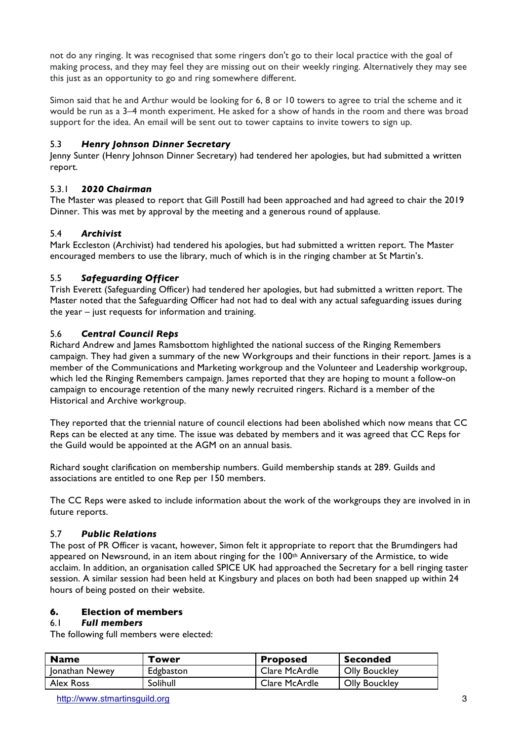not do any ringing. It was recognised that some ringers don't go to their local practice with the goal of making process, and they may feel they are missing out on their weekly ringing. Alternatively they may see this just as an opportunity to go and ring somewhere different.

Simon said that he and Arthur would be looking for 6, 8 or 10 towers to agree to trial the scheme and it would be run as a 3–4 month experiment. He asked for a show of hands in the room and there was broad support for the idea. An email will be sent out to tower captains to invite towers to sign up.

# 5.3 *Henry Johnson Dinner Secretary*

Jenny Sunter (Henry Johnson Dinner Secretary) had tendered her apologies, but had submitted a written report.

# 5.3.1 *2020 Chairman*

The Master was pleased to report that Gill Postill had been approached and had agreed to chair the 2019 Dinner. This was met by approval by the meeting and a generous round of applause.

# 5.4 *Archivist*

Mark Eccleston (Archivist) had tendered his apologies, but had submitted a written report. The Master encouraged members to use the library, much of which is in the ringing chamber at St Martin's.

# 5.5 *Safeguarding Officer*

Trish Everett (Safeguarding Officer) had tendered her apologies, but had submitted a written report. The Master noted that the Safeguarding Officer had not had to deal with any actual safeguarding issues during the year – just requests for information and training.

# 5.6 *Central Council Reps*

Richard Andrew and James Ramsbottom highlighted the national success of the Ringing Remembers campaign. They had given a summary of the new Workgroups and their functions in their report. James is a member of the Communications and Marketing workgroup and the Volunteer and Leadership workgroup, which led the Ringing Remembers campaign. James reported that they are hoping to mount a follow-on campaign to encourage retention of the many newly recruited ringers. Richard is a member of the Historical and Archive workgroup.

They reported that the triennial nature of council elections had been abolished which now means that CC Reps can be elected at any time. The issue was debated by members and it was agreed that CC Reps for the Guild would be appointed at the AGM on an annual basis.

Richard sought clarification on membership numbers. Guild membership stands at 289. Guilds and associations are entitled to one Rep per 150 members.

The CC Reps were asked to include information about the work of the workgroups they are involved in in future reports.

# 5.7 *Public Relations*

The post of PR Officer is vacant, however, Simon felt it appropriate to report that the Brumdingers had appeared on Newsround, in an item about ringing for the 100<sup>th</sup> Anniversary of the Armistice, to wide acclaim. In addition, an organisation called SPICE UK had approached the Secretary for a bell ringing taster session. A similar session had been held at Kingsbury and places on both had been snapped up within 24 hours of being posted on their website.

# **6. Election of members**

# 6.1 *Full members*

The following full members were elected:

| <b>Name</b>    | Tower     | <b>Proposed</b> | Seconded             |
|----------------|-----------|-----------------|----------------------|
| Jonathan Newey | Edgbaston | Clare McArdle   | <b>Olly Bouckley</b> |
| Alex Ross      | Solihull  | Clare McArdle   | <b>Olly Bouckley</b> |

http://www.stmartinsguild.org 3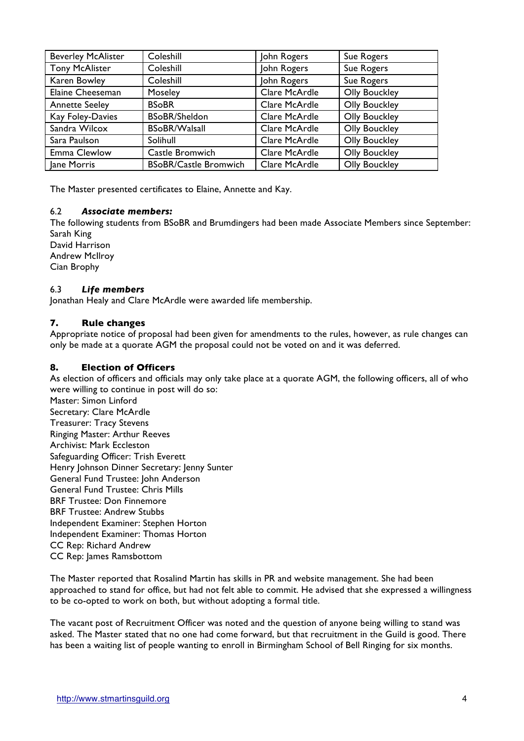| <b>Beverley McAlister</b> | Coleshill                    | John Rogers   | Sue Rogers           |
|---------------------------|------------------------------|---------------|----------------------|
| <b>Tony McAlister</b>     | Coleshill                    | John Rogers   | Sue Rogers           |
| Karen Bowley              | Coleshill                    | John Rogers   | Sue Rogers           |
| Elaine Cheeseman          | Moseley                      | Clare McArdle | <b>Olly Bouckley</b> |
| <b>Annette Seeley</b>     | <b>BSoBR</b>                 | Clare McArdle | <b>Olly Bouckley</b> |
| Kay Foley-Davies          | <b>BSoBR/Sheldon</b>         | Clare McArdle | <b>Olly Bouckley</b> |
| Sandra Wilcox             | <b>BSoBR/Walsall</b>         | Clare McArdle | <b>Olly Bouckley</b> |
| Sara Paulson              | Solihull                     | Clare McArdle | <b>Olly Bouckley</b> |
| Emma Clewlow              | Castle Bromwich              | Clare McArdle | <b>Olly Bouckley</b> |
| Jane Morris               | <b>BSoBR/Castle Bromwich</b> | Clare McArdle | <b>Olly Bouckley</b> |

The Master presented certificates to Elaine, Annette and Kay.

#### 6.2 *Associate members:*

The following students from BSoBR and Brumdingers had been made Associate Members since September: Sarah King

David Harrison Andrew McIlroy Cian Brophy

### 6.3 *Life members*

Jonathan Healy and Clare McArdle were awarded life membership.

### **7. Rule changes**

Appropriate notice of proposal had been given for amendments to the rules, however, as rule changes can only be made at a quorate AGM the proposal could not be voted on and it was deferred.

#### **8. Election of Officers**

As election of officers and officials may only take place at a quorate AGM, the following officers, all of who were willing to continue in post will do so:

Master: Simon Linford Secretary: Clare McArdle Treasurer: Tracy Stevens Ringing Master: Arthur Reeves Archivist: Mark Eccleston Safeguarding Officer: Trish Everett Henry Johnson Dinner Secretary: Jenny Sunter General Fund Trustee: John Anderson General Fund Trustee: Chris Mills BRF Trustee: Don Finnemore BRF Trustee: Andrew Stubbs Independent Examiner: Stephen Horton Independent Examiner: Thomas Horton CC Rep: Richard Andrew CC Rep: James Ramsbottom

The Master reported that Rosalind Martin has skills in PR and website management. She had been approached to stand for office, but had not felt able to commit. He advised that she expressed a willingness to be co-opted to work on both, but without adopting a formal title.

The vacant post of Recruitment Officer was noted and the question of anyone being willing to stand was asked. The Master stated that no one had come forward, but that recruitment in the Guild is good. There has been a waiting list of people wanting to enroll in Birmingham School of Bell Ringing for six months.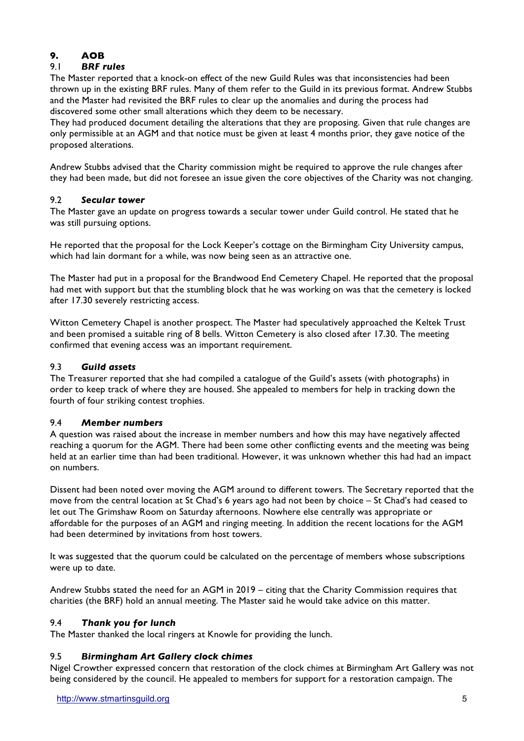# **9. AOB**

# 9.1 *BRF rules*

The Master reported that a knock-on effect of the new Guild Rules was that inconsistencies had been thrown up in the existing BRF rules. Many of them refer to the Guild in its previous format. Andrew Stubbs and the Master had revisited the BRF rules to clear up the anomalies and during the process had discovered some other small alterations which they deem to be necessary.

They had produced document detailing the alterations that they are proposing. Given that rule changes are only permissible at an AGM and that notice must be given at least 4 months prior, they gave notice of the proposed alterations.

Andrew Stubbs advised that the Charity commission might be required to approve the rule changes after they had been made, but did not foresee an issue given the core objectives of the Charity was not changing.

# 9.2 *Secular tower*

The Master gave an update on progress towards a secular tower under Guild control. He stated that he was still pursuing options.

He reported that the proposal for the Lock Keeper's cottage on the Birmingham City University campus, which had lain dormant for a while, was now being seen as an attractive one.

The Master had put in a proposal for the Brandwood End Cemetery Chapel. He reported that the proposal had met with support but that the stumbling block that he was working on was that the cemetery is locked after 17.30 severely restricting access.

Witton Cemetery Chapel is another prospect. The Master had speculatively approached the Keltek Trust and been promised a suitable ring of 8 bells. Witton Cemetery is also closed after 17.30. The meeting confirmed that evening access was an important requirement.

# 9.3 *Guild assets*

The Treasurer reported that she had compiled a catalogue of the Guild's assets (with photographs) in order to keep track of where they are housed. She appealed to members for help in tracking down the fourth of four striking contest trophies.

# 9.4 *Member numbers*

A question was raised about the increase in member numbers and how this may have negatively affected reaching a quorum for the AGM. There had been some other conflicting events and the meeting was being held at an earlier time than had been traditional. However, it was unknown whether this had had an impact on numbers.

Dissent had been noted over moving the AGM around to different towers. The Secretary reported that the move from the central location at St Chad's 6 years ago had not been by choice – St Chad's had ceased to let out The Grimshaw Room on Saturday afternoons. Nowhere else centrally was appropriate or affordable for the purposes of an AGM and ringing meeting. In addition the recent locations for the AGM had been determined by invitations from host towers.

It was suggested that the quorum could be calculated on the percentage of members whose subscriptions were up to date.

Andrew Stubbs stated the need for an AGM in 2019 – citing that the Charity Commission requires that charities (the BRF) hold an annual meeting. The Master said he would take advice on this matter.

# 9.4 *Thank you for lunch*

The Master thanked the local ringers at Knowle for providing the lunch.

# 9.5 *Birmingham Art Gallery clock chimes*

Nigel Crowther expressed concern that restoration of the clock chimes at Birmingham Art Gallery was not being considered by the council. He appealed to members for support for a restoration campaign. The